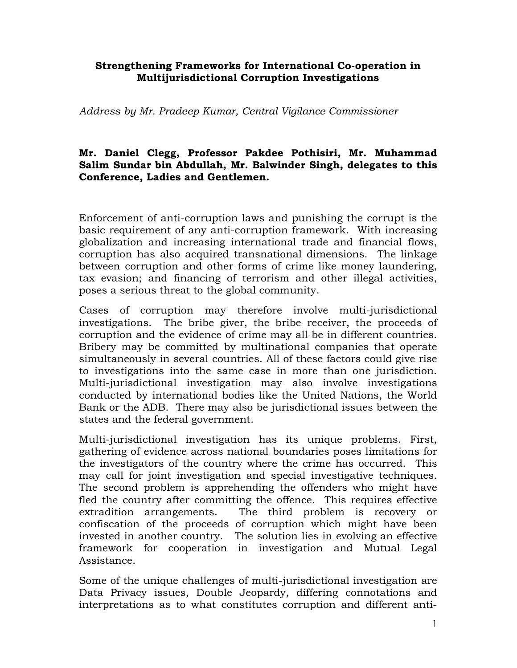## Strengthening Frameworks for International Co-operation in Multijurisdictional Corruption Investigations

Address by Mr. Pradeep Kumar, Central Vigilance Commissioner

## Mr. Daniel Clegg, Professor Pakdee Pothisiri, Mr. Muhammad Salim Sundar bin Abdullah, Mr. Balwinder Singh, delegates to this Conference, Ladies and Gentlemen.

Enforcement of anti-corruption laws and punishing the corrupt is the basic requirement of any anti-corruption framework. With increasing globalization and increasing international trade and financial flows, corruption has also acquired transnational dimensions. The linkage between corruption and other forms of crime like money laundering, tax evasion; and financing of terrorism and other illegal activities, poses a serious threat to the global community.

Cases of corruption may therefore involve multi-jurisdictional investigations. The bribe giver, the bribe receiver, the proceeds of corruption and the evidence of crime may all be in different countries. Bribery may be committed by multinational companies that operate simultaneously in several countries. All of these factors could give rise to investigations into the same case in more than one jurisdiction. Multi-jurisdictional investigation may also involve investigations conducted by international bodies like the United Nations, the World Bank or the ADB. There may also be jurisdictional issues between the states and the federal government.

Multi-jurisdictional investigation has its unique problems. First, gathering of evidence across national boundaries poses limitations for the investigators of the country where the crime has occurred. This may call for joint investigation and special investigative techniques. The second problem is apprehending the offenders who might have fled the country after committing the offence. This requires effective extradition arrangements. The third problem is recovery or confiscation of the proceeds of corruption which might have been invested in another country. The solution lies in evolving an effective framework for cooperation in investigation and Mutual Legal Assistance.

Some of the unique challenges of multi-jurisdictional investigation are Data Privacy issues, Double Jeopardy, differing connotations and interpretations as to what constitutes corruption and different anti